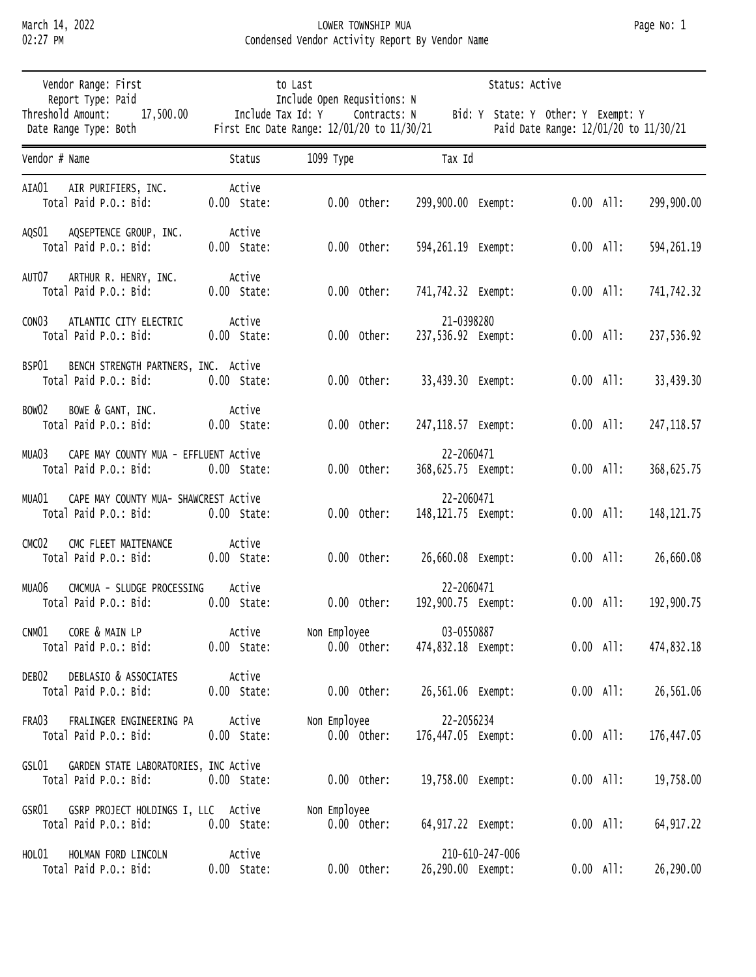## March 14, 2022 LOWER TOWNSHIP MUA Page No: 1 02:27 PM Condensed Vendor Activity Report By Vendor Name

| Vendor Range: First<br>Report Type: Paid                                | to Last<br>Include Open Requsitions: N<br>Include Tax Id: Y<br>Contracts: N<br>First Enc Date Range: 12/01/20 to 11/30/21 |                               | Status: Active                                                              |                            |  |  |
|-------------------------------------------------------------------------|---------------------------------------------------------------------------------------------------------------------------|-------------------------------|-----------------------------------------------------------------------------|----------------------------|--|--|
| Threshold Amount:<br>17,500.00<br>Date Range Type: Both                 |                                                                                                                           |                               | Bid: Y State: Y Other: Y Exempt: Y<br>Paid Date Range: 12/01/20 to 11/30/21 |                            |  |  |
| Vendor # Name                                                           | Status                                                                                                                    | 1099 Туре                     | Tax Id                                                                      |                            |  |  |
| AIA01<br>AIR PURIFIERS, INC.<br>Total Paid P.O.: Bid:                   | Active<br>$0.00$ State:                                                                                                   | $0.00$ Other:                 | 299,900.00 Exempt:                                                          | $0.00$ All:<br>299,900.00  |  |  |
| AQSEPTENCE GROUP, INC.<br>AQSO1<br>Total Paid P.O.: Bid:                | Active<br>$0.00$ State:                                                                                                   | $0.00$ Other:                 | 594,261.19 Exempt:                                                          | $0.00$ All:<br>594, 261.19 |  |  |
| AUT07<br>ARTHUR R. HENRY, INC.<br>Total Paid P.O.: Bid:                 | Active<br>$0.00$ State:                                                                                                   | $0.00$ Other:                 | 741,742.32 Exempt:                                                          | $0.00$ All:<br>741,742.32  |  |  |
| ATLANTIC CITY ELECTRIC<br>CONO3<br>Total Paid P.O.: Bid:                | Active<br>$0.00$ State:                                                                                                   | $0.00$ Other:                 | 21-0398280<br>237,536.92 Exempt:                                            | $0.00$ All:<br>237,536.92  |  |  |
| BENCH STRENGTH PARTNERS, INC. Active<br>BSP01<br>Total Paid P.O.: Bid:  | $0.00$ State:                                                                                                             | $0.00$ Other:                 | 33,439.30 Exempt:                                                           | $0.00$ All:<br>33,439.30   |  |  |
| BOWE & GANT, INC.<br>BOW02<br>Total Paid P.O.: Bid:                     | Active<br>$0.00$ State:                                                                                                   | $0.00$ Other:                 | 247,118.57 Exempt:                                                          | $0.00$ All:<br>247, 118.57 |  |  |
| CAPE MAY COUNTY MUA - EFFLUENT Active<br>MUA03<br>Total Paid P.O.: Bid: | $0.00$ State:                                                                                                             | $0.00$ Other:                 | 22-2060471<br>368,625.75 Exempt:                                            | $0.00$ All:<br>368,625.75  |  |  |
| CAPE MAY COUNTY MUA- SHAWCREST Active<br>MUA01<br>Total Paid P.O.: Bid: | $0.00$ State:                                                                                                             | $0.00$ Other:                 | 22-2060471<br>148,121.75 Exempt:                                            | $0.00$ All:<br>148, 121.75 |  |  |
| CMC FLEET MAITENANCE<br>CMC <sub>02</sub><br>Total Paid P.O.: Bid:      | Active<br>$0.00$ State:                                                                                                   | $0.00$ Other:                 | 26,660.08 Exempt:                                                           | $0.00$ All:<br>26,660.08   |  |  |
| MUA06<br>CMCMUA - SLUDGE PROCESSING<br>Total Paid P.O.: Bid:            | Active<br>$0.00$ State:                                                                                                   | $0.00$ Other:                 | 22-2060471<br>192,900.75 Exempt:                                            | $0.00$ All:<br>192,900.75  |  |  |
| CORE & MAIN LP<br>CNM01<br>Total Paid P.O.: Bid:                        | Active<br>$0.00$ State:                                                                                                   | Non Employee<br>$0.00$ Other: | 03-0550887<br>474,832.18 Exempt:                                            | $0.00$ All:<br>474,832.18  |  |  |
| DEBLASIO & ASSOCIATES<br>DEB02<br>Total Paid P.O.: Bid:                 | Active<br>$0.00$ State:                                                                                                   | $0.00$ Other:                 | 26,561.06 Exempt:                                                           | $0.00$ All:<br>26,561.06   |  |  |
| FRALINGER ENGINEERING PA<br>FRA03<br>Total Paid P.O.: Bid:              | Active<br>$0.00$ State:                                                                                                   | Non Employee<br>$0.00$ Other: | 22-2056234<br>176,447.05 Exempt:                                            | $0.00$ All:<br>176,447.05  |  |  |
| GARDEN STATE LABORATORIES, INC Active<br>GSL01<br>Total Paid P.O.: Bid: | $0.00$ State:                                                                                                             | $0.00$ Other:                 | 19,758.00 Exempt:                                                           | $0.00$ All:<br>19,758.00   |  |  |
| GSRP PROJECT HOLDINGS I, LLC Active<br>GSR01<br>Total Paid P.O.: Bid:   | $0.00$ State:                                                                                                             | Non Employee<br>$0.00$ Other: | 64,917.22 Exempt:                                                           | $0.00$ All:<br>64, 917.22  |  |  |
| HOL01<br>HOLMAN FORD LINCOLN<br>Total Paid P.O.: Bid:                   | Active<br>$0.00$ State:                                                                                                   | $0.00$ Other:                 | 210-610-247-006<br>26,290.00 Exempt:                                        | $0.00$ All:<br>26,290.00   |  |  |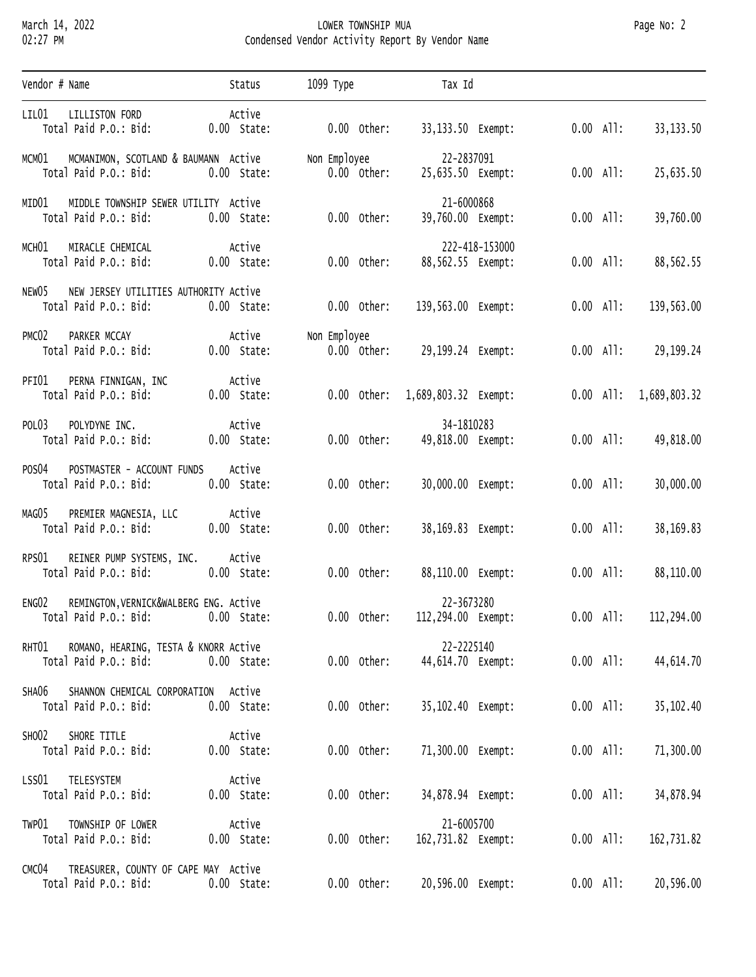## March 14, 2022 LOWER TOWNSHIP MUA Page No: 2 02:27 PM Condensed Vendor Activity Report By Vendor Name

| Vendor # Name                                                                        | Status                  | 1099 Туре                     | Tax Id                              |                        |              |
|--------------------------------------------------------------------------------------|-------------------------|-------------------------------|-------------------------------------|------------------------|--------------|
| LIL01<br>LILLISTON FORD<br>Total Paid P.O.: Bid:                                     | Active<br>$0.00$ State: | $0.00$ Other:                 | 33,133.50 Exempt:                   | $0.00$ All:            | 33, 133.50   |
| MCM01 MCMANIMON, SCOTLAND & BAUMANN Active<br>Total Paid P.O.: Bid:                  | $0.00$ State:           | Non Employee<br>$0.00$ Other: | 22-2837091<br>25,635.50 Exempt:     | $0.00$ All:            | 25,635.50    |
| MIDDLE TOWNSHIP SEWER UTILITY Active<br>MIDO1<br>Total Paid P.O.: Bid:               | $0.00$ State:           | $0.00$ Other:                 | 21-6000868<br>39,760.00 Exempt:     | $0.00$ All:            | 39,760.00    |
| MIRACLE CHEMICAL<br>мсн01<br>Total Paid P.O.: Bid:                                   | Active<br>$0.00$ State: | $0.00$ Other:                 | 222-418-153000<br>88,562.55 Exempt: | $0.00$ All:            | 88,562.55    |
| NEW JERSEY UTILITIES AUTHORITY Active<br>NEWO5<br>Total Paid P.O.: Bid:              | $0.00$ State:           | $0.00$ Other:                 | 139,563.00 Exempt:                  | $0.00$ All:            | 139,563.00   |
| PMC02<br>PARKER MCCAY<br>Total Paid P.O.: Bid:                                       | Active<br>$0.00$ State: | Non Employee<br>$0.00$ Other: | 29,199.24 Exempt:                   | $0.00$ All:            | 29,199.24    |
| PFI01<br>PERNA FINNIGAN, INC<br>Total Paid P.O.: Bid:                                | Active<br>$0.00$ State: |                               | 0.00 Other: 1,689,803.32 Exempt:    | $0.00$ All:            | 1,689,803.32 |
| POLYDYNE INC.<br>POL03<br>Total Paid P.O.: Bid:                                      | Active<br>$0.00$ State: | $0.00$ Other:                 | 34-1810283<br>49,818.00 Exempt:     | $0.00$ All:            | 49,818.00    |
| POS04<br>POSTMASTER - ACCOUNT FUNDS<br>Total Paid P.O.: Bid:                         | Active<br>$0.00$ State: | $0.00$ Other:                 | 30,000.00 Exempt:                   | $0.00$ All:            | 30,000.00    |
| PREMIER MAGNESIA, LLC<br>MAGO5<br>Total Paid P.O.: Bid:                              | Active<br>$0.00$ State: | $0.00$ Other:                 | 38,169.83 Exempt:                   | $0.00$ All:            | 38,169.83    |
| REINER PUMP SYSTEMS, INC.<br>RPS01<br>Total Paid P.O.: Bid:                          | Active<br>$0.00$ State: | $0.00$ Other:                 | 88,110.00 Exempt:                   | $0.00$ All:            | 88,110.00    |
| REMINGTON, VERNICK&WALBERG ENG. Active<br>ENGO2<br>Total Paid P.O.: Bid: 0.00 State: |                         | $0.00$ Other:                 | 22-3673280<br>112,294.00 Exempt:    | $0.00$ All: 112,294.00 |              |
| ROMANO, HEARING, TESTA & KNORR Active<br>RHT01<br>Total Paid P.O.: Bid:              | $0.00$ State:           | $0.00$ Other:                 | 22-2225140<br>44,614.70 Exempt:     | $0.00$ All:            | 44,614.70    |
| SHANNON CHEMICAL CORPORATION Active<br>SHA06<br>Total Paid P.O.: Bid:                | $0.00$ State:           | $0.00$ Other:                 | 35,102.40 Exempt:                   | $0.00$ All:            | 35, 102.40   |
| SHORE TITLE<br>SHO02<br>Total Paid P.O.: Bid:                                        | Active<br>$0.00$ State: | $0.00$ Other:                 | 71,300.00 Exempt:                   | $0.00$ All:            | 71,300.00    |
| TELESYSTEM<br>LSS01<br>Total Paid P.O.: Bid:                                         | Active<br>$0.00$ State: | $0.00$ Other:                 | 34,878.94 Exempt:                   | $0.00$ All:            | 34,878.94    |
| TOWNSHIP OF LOWER<br>TWP01<br>Total Paid P.O.: Bid:                                  | Active<br>$0.00$ State: | $0.00$ Other:                 | 21-6005700<br>162,731.82 Exempt:    | $0.00$ All:            | 162,731.82   |
| TREASURER, COUNTY OF CAPE MAY Active<br>CMC04<br>Total Paid P.O.: Bid:               | $0.00$ State:           | $0.00$ Other:                 | 20,596.00 Exempt:                   | $0.00$ All:            | 20,596.00    |